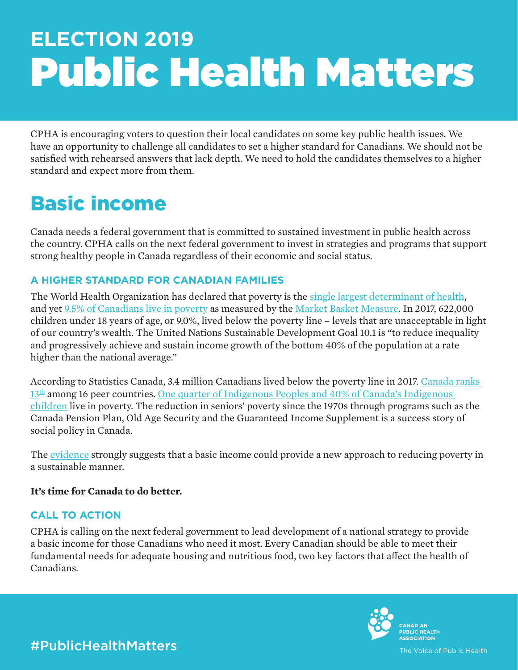# **ELECTION 2019** Public Health Matters

CPHA is encouraging voters to question their local candidates on some key public health issues. We have an opportunity to challenge all candidates to set a higher standard for Canadians. We should not be satisfied with rehearsed answers that lack depth. We need to hold the candidates themselves to a higher standard and expect more from them.

## Basic income

Canada needs a federal government that is committed to sustained investment in public health across the country. CPHA calls on the next federal government to invest in strategies and programs that support strong healthy people in Canada regardless of their economic and social status.

## **A HIGHER STANDARD FOR CANADIAN FAMILIES**

The World Health Organization has declared that poverty is the [single largest determinant of health](http://www.euro.who.int/en/health-topics/environment-and-health/urban-health/activities/poverty-and-social-determinants), and yet [9.5% of Canadians live in poverty](https://www150.statcan.gc.ca/n1/daily-quotidien/190226/dq190226b-eng.htm) as measured by the [Market Basket Measure.](https://www12.statcan.gc.ca/census-recensement/2016/ref/dict/pop165-eng.cfm) In 2017, 622,000 children under 18 years of age, or 9.0%, lived below the poverty line – levels that are unacceptable in light of our country's wealth. The United Nations Sustainable Development Goal 10.1 is "to reduce inequality and progressively achieve and sustain income growth of the bottom 40% of the population at a rate higher than the national average."

According to Statistics Canada, 3.4 million Canadians lived below the poverty line in 2017. [Canada ranks](https://www.conferenceboard.ca/hcp/provincial/society/poverty.aspx?AspxAutoDetectCookieSupport=1)   $13<sup>th</sup>$  among 16 peer countries. One quarter of Indigenous Peoples and 40% of Canada's Indigenous [children](https://www.povertyinstitute.ca/poverty-canada) live in poverty. The reduction in seniors' poverty since the 1970s through programs such as the Canada Pension Plan, Old Age Security and the Guaranteed Income Supplement is a success story of social policy in Canada.

The [evidence](https://www.northernpolicy.ca/big) strongly suggests that a basic income could provide a new approach to reducing poverty in a sustainable manner.

## **It's time for Canada to do better.**

## **CALL TO ACTION**

CPHA is calling on the next federal government to lead development of a national strategy to provide a basic income for those Canadians who need it most. Every Canadian should be able to meet their fundamental needs for adequate housing and nutritious food, two key factors that affect the health of Canadians.



#PublicHealthMatters

The Voice of Public Health